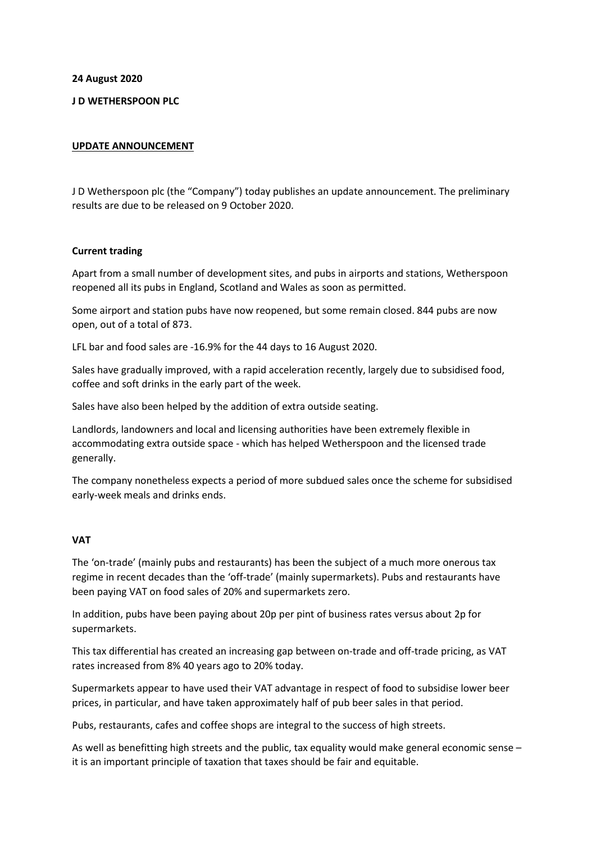**24 August 2020**

# **J D WETHERSPOON PLC**

## **UPDATE ANNOUNCEMENT**

J D Wetherspoon plc (the "Company") today publishes an update announcement. The preliminary results are due to be released on 9 October 2020.

## **Current trading**

Apart from a small number of development sites, and pubs in airports and stations, Wetherspoon reopened all its pubs in England, Scotland and Wales as soon as permitted.

Some airport and station pubs have now reopened, but some remain closed. 844 pubs are now open, out of a total of 873.

LFL bar and food sales are -16.9% for the 44 days to 16 August 2020.

Sales have gradually improved, with a rapid acceleration recently, largely due to subsidised food, coffee and soft drinks in the early part of the week.

Sales have also been helped by the addition of extra outside seating.

Landlords, landowners and local and licensing authorities have been extremely flexible in accommodating extra outside space - which has helped Wetherspoon and the licensed trade generally.

The company nonetheless expects a period of more subdued sales once the scheme for subsidised early-week meals and drinks ends.

## **VAT**

The 'on-trade' (mainly pubs and restaurants) has been the subject of a much more onerous tax regime in recent decades than the 'off-trade' (mainly supermarkets). Pubs and restaurants have been paying VAT on food sales of 20% and supermarkets zero.

In addition, pubs have been paying about 20p per pint of business rates versus about 2p for supermarkets.

This tax differential has created an increasing gap between on-trade and off-trade pricing, as VAT rates increased from 8% 40 years ago to 20% today.

Supermarkets appear to have used their VAT advantage in respect of food to subsidise lower beer prices, in particular, and have taken approximately half of pub beer sales in that period.

Pubs, restaurants, cafes and coffee shops are integral to the success of high streets.

As well as benefitting high streets and the public, tax equality would make general economic sense – it is an important principle of taxation that taxes should be fair and equitable.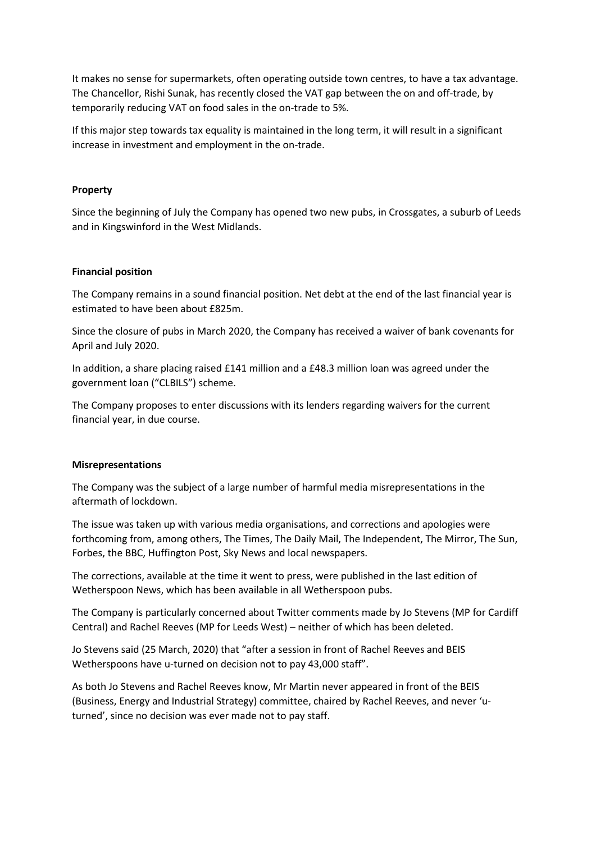It makes no sense for supermarkets, often operating outside town centres, to have a tax advantage. The Chancellor, Rishi Sunak, has recently closed the VAT gap between the on and off-trade, by temporarily reducing VAT on food sales in the on-trade to 5%.

If this major step towards tax equality is maintained in the long term, it will result in a significant increase in investment and employment in the on-trade.

## **Property**

Since the beginning of July the Company has opened two new pubs, in Crossgates, a suburb of Leeds and in Kingswinford in the West Midlands.

## **Financial position**

The Company remains in a sound financial position. Net debt at the end of the last financial year is estimated to have been about £825m.

Since the closure of pubs in March 2020, the Company has received a waiver of bank covenants for April and July 2020.

In addition, a share placing raised £141 million and a £48.3 million loan was agreed under the government loan ("CLBILS") scheme.

The Company proposes to enter discussions with its lenders regarding waivers for the current financial year, in due course.

## **Misrepresentations**

The Company was the subject of a large number of harmful media misrepresentations in the aftermath of lockdown.

The issue was taken up with various media organisations, and corrections and apologies were forthcoming from, among others, The Times, The Daily Mail, The Independent, The Mirror, The Sun, Forbes, the BBC, Huffington Post, Sky News and local newspapers.

The corrections, available at the time it went to press, were published in the last edition of Wetherspoon News, which has been available in all Wetherspoon pubs.

The Company is particularly concerned about Twitter comments made by Jo Stevens (MP for Cardiff Central) and Rachel Reeves (MP for Leeds West) – neither of which has been deleted.

Jo Stevens said (25 March, 2020) that "after a session in front of Rachel Reeves and BEIS Wetherspoons have u-turned on decision not to pay 43,000 staff".

As both Jo Stevens and Rachel Reeves know, Mr Martin never appeared in front of the BEIS (Business, Energy and Industrial Strategy) committee, chaired by Rachel Reeves, and never 'uturned', since no decision was ever made not to pay staff.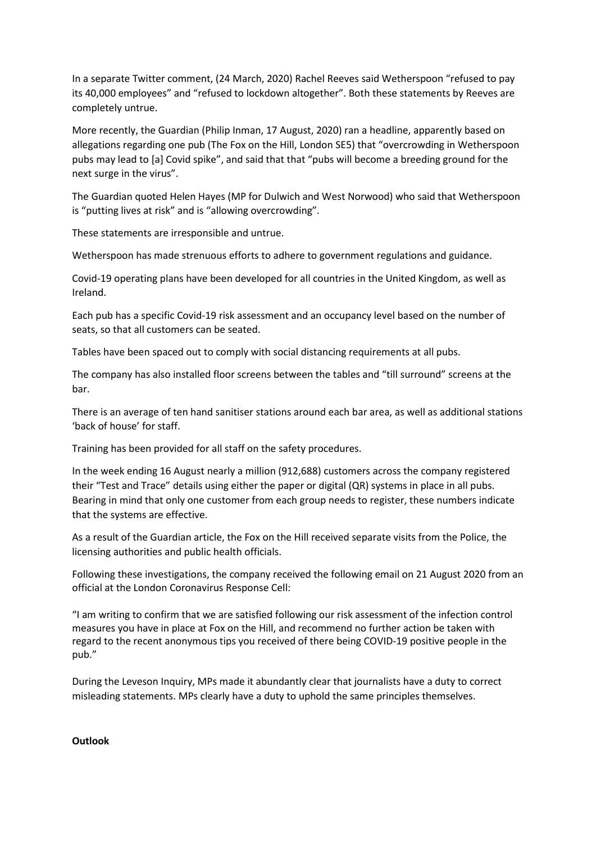In a separate Twitter comment, (24 March, 2020) Rachel Reeves said Wetherspoon "refused to pay its 40,000 employees" and "refused to lockdown altogether". Both these statements by Reeves are completely untrue.

More recently, the Guardian (Philip Inman, 17 August, 2020) ran a headline, apparently based on allegations regarding one pub (The Fox on the Hill, London SE5) that "overcrowding in Wetherspoon pubs may lead to [a] Covid spike", and said that that "pubs will become a breeding ground for the next surge in the virus".

The Guardian quoted Helen Hayes (MP for Dulwich and West Norwood) who said that Wetherspoon is "putting lives at risk" and is "allowing overcrowding".

These statements are irresponsible and untrue.

Wetherspoon has made strenuous efforts to adhere to government regulations and guidance.

Covid-19 operating plans have been developed for all countries in the United Kingdom, as well as Ireland.

Each pub has a specific Covid-19 risk assessment and an occupancy level based on the number of seats, so that all customers can be seated.

Tables have been spaced out to comply with social distancing requirements at all pubs.

The company has also installed floor screens between the tables and "till surround" screens at the bar.

There is an average of ten hand sanitiser stations around each bar area, as well as additional stations 'back of house' for staff.

Training has been provided for all staff on the safety procedures.

In the week ending 16 August nearly a million (912,688) customers across the company registered their "Test and Trace" details using either the paper or digital (QR) systems in place in all pubs. Bearing in mind that only one customer from each group needs to register, these numbers indicate that the systems are effective.

As a result of the Guardian article, the Fox on the Hill received separate visits from the Police, the licensing authorities and public health officials.

Following these investigations, the company received the following email on 21 August 2020 from an official at the London Coronavirus Response Cell:

"I am writing to confirm that we are satisfied following our risk assessment of the infection control measures you have in place at Fox on the Hill, and recommend no further action be taken with regard to the recent anonymous tips you received of there being COVID-19 positive people in the pub."

During the Leveson Inquiry, MPs made it abundantly clear that journalists have a duty to correct misleading statements. MPs clearly have a duty to uphold the same principles themselves.

**Outlook**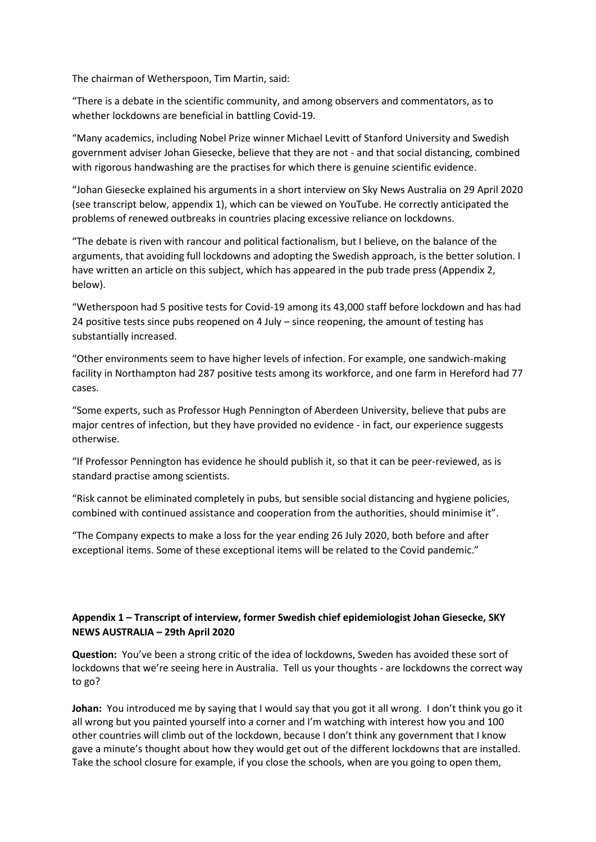The chairman of Wetherspoon, Tim Martin, said:

"There is a debate in the scientific community, and among observers and commentators, as to whether lockdowns are beneficial in battling Covid-19.

"Many academics, including Nobel Prize winner Michael Levitt of Stanford University and Swedish government adviser Johan Giesecke, believe that they are not - and that social distancing, combined with rigorous handwashing are the practises for which there is genuine scientific evidence.

"Johan Giesecke explained his arguments in a short interview on Sky News Australia on 29 April 2020 (see transcript below, appendix 1), which can be viewed on YouTube. He correctly anticipated the problems of renewed outbreaks in countries placing excessive reliance on lockdowns.

"The debate is riven with rancour and political factionalism, but I believe, on the balance of the arguments, that avoiding full lockdowns and adopting the Swedish approach, is the better solution. I have written an article on this subject, which has appeared in the pub trade press (Appendix 2, below).

"Wetherspoon had 5 positive tests for Covid-19 among its 43,000 staff before lockdown and has had 24 positive tests since pubs reopened on 4 July – since reopening, the amount of testing has substantially increased.

"Other environments seem to have higher levels of infection. For example, one sandwich-making facility in Northampton had 287 positive tests among its workforce, and one farm in Hereford had 77 cases.

"Some experts, such as Professor Hugh Pennington of Aberdeen University, believe that pubs are major centres of infection, but they have provided no evidence - in fact, our experience suggests otherwise.

"If Professor Pennington has evidence he should publish it, so that it can be peer-reviewed, as is standard practise among scientists.

"Risk cannot be eliminated completely in pubs, but sensible social distancing and hygiene policies, combined with continued assistance and cooperation from the authorities, should minimise it".

"The Company expects to make a loss for the year ending 26 July 2020, both before and after exceptional items. Some of these exceptional items will be related to the Covid pandemic."

# **Appendix 1 – Transcript of interview, former Swedish chief epidemiologist Johan Giesecke, SKY NEWS AUSTRALIA – 29th April 2020**

**Question:** You've been a strong critic of the idea of lockdowns, Sweden has avoided these sort of lockdowns that we're seeing here in Australia. Tell us your thoughts - are lockdowns the correct way to go?

**Johan:** You introduced me by saying that I would say that you got it all wrong. I don't think you go it all wrong but you painted yourself into a corner and I'm watching with interest how you and 100 other countries will climb out of the lockdown, because I don't think any government that I know gave a minute's thought about how they would get out of the different lockdowns that are installed. Take the school closure for example, if you close the schools, when are you going to open them,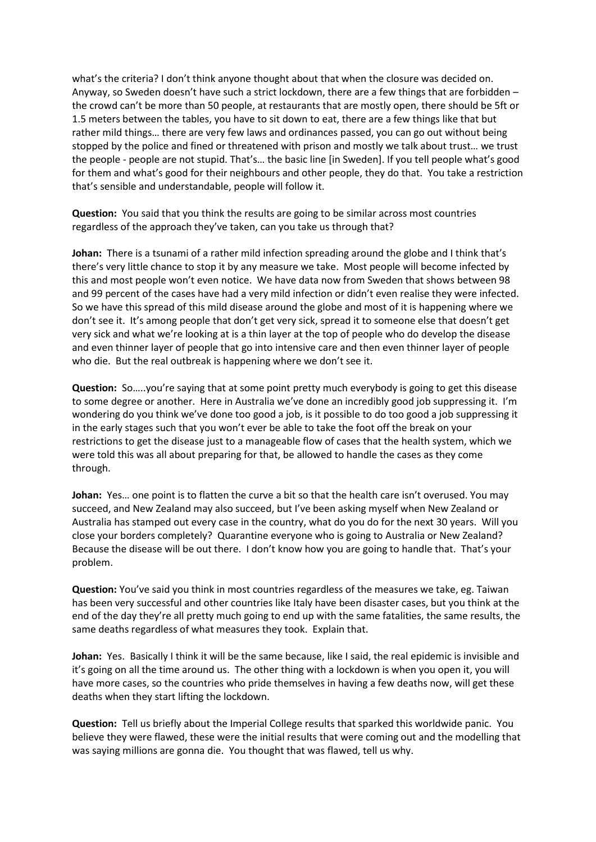what's the criteria? I don't think anyone thought about that when the closure was decided on. Anyway, so Sweden doesn't have such a strict lockdown, there are a few things that are forbidden – the crowd can't be more than 50 people, at restaurants that are mostly open, there should be 5ft or 1.5 meters between the tables, you have to sit down to eat, there are a few things like that but rather mild things… there are very few laws and ordinances passed, you can go out without being stopped by the police and fined or threatened with prison and mostly we talk about trust… we trust the people - people are not stupid. That's… the basic line [in Sweden]. If you tell people what's good for them and what's good for their neighbours and other people, they do that. You take a restriction that's sensible and understandable, people will follow it.

**Question:** You said that you think the results are going to be similar across most countries regardless of the approach they've taken, can you take us through that?

**Johan:** There is a tsunami of a rather mild infection spreading around the globe and I think that's there's very little chance to stop it by any measure we take. Most people will become infected by this and most people won't even notice. We have data now from Sweden that shows between 98 and 99 percent of the cases have had a very mild infection or didn't even realise they were infected. So we have this spread of this mild disease around the globe and most of it is happening where we don't see it. It's among people that don't get very sick, spread it to someone else that doesn't get very sick and what we're looking at is a thin layer at the top of people who do develop the disease and even thinner layer of people that go into intensive care and then even thinner layer of people who die. But the real outbreak is happening where we don't see it.

**Question:** So…..you're saying that at some point pretty much everybody is going to get this disease to some degree or another. Here in Australia we've done an incredibly good job suppressing it. I'm wondering do you think we've done too good a job, is it possible to do too good a job suppressing it in the early stages such that you won't ever be able to take the foot off the break on your restrictions to get the disease just to a manageable flow of cases that the health system, which we were told this was all about preparing for that, be allowed to handle the cases as they come through.

**Johan:** Yes… one point is to flatten the curve a bit so that the health care isn't overused. You may succeed, and New Zealand may also succeed, but I've been asking myself when New Zealand or Australia has stamped out every case in the country, what do you do for the next 30 years. Will you close your borders completely? Quarantine everyone who is going to Australia or New Zealand? Because the disease will be out there. I don't know how you are going to handle that. That's your problem.

**Question:** You've said you think in most countries regardless of the measures we take, eg. Taiwan has been very successful and other countries like Italy have been disaster cases, but you think at the end of the day they're all pretty much going to end up with the same fatalities, the same results, the same deaths regardless of what measures they took. Explain that.

**Johan:** Yes. Basically I think it will be the same because, like I said, the real epidemic is invisible and it's going on all the time around us. The other thing with a lockdown is when you open it, you will have more cases, so the countries who pride themselves in having a few deaths now, will get these deaths when they start lifting the lockdown.

**Question:** Tell us briefly about the Imperial College results that sparked this worldwide panic. You believe they were flawed, these were the initial results that were coming out and the modelling that was saying millions are gonna die. You thought that was flawed, tell us why.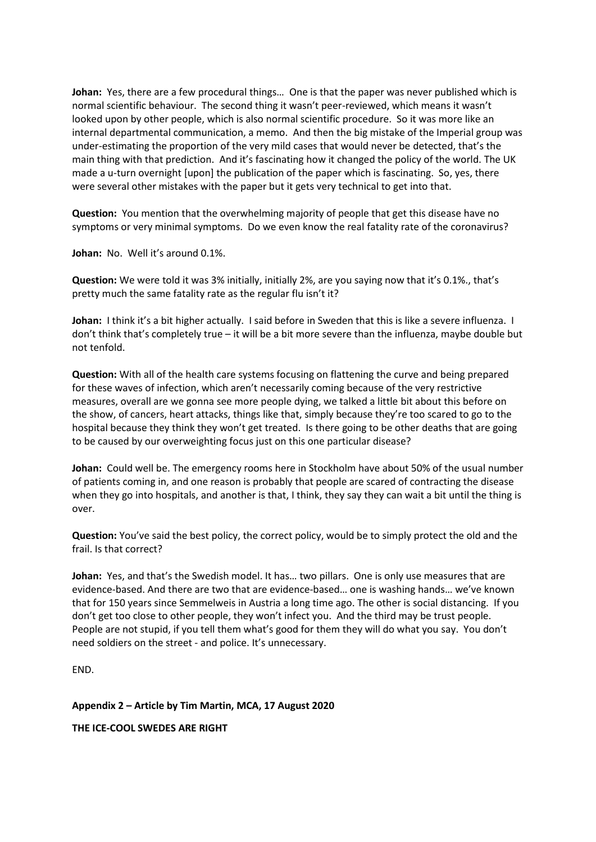**Johan:** Yes, there are a few procedural things… One is that the paper was never published which is normal scientific behaviour. The second thing it wasn't peer-reviewed, which means it wasn't looked upon by other people, which is also normal scientific procedure. So it was more like an internal departmental communication, a memo. And then the big mistake of the Imperial group was under-estimating the proportion of the very mild cases that would never be detected, that's the main thing with that prediction. And it's fascinating how it changed the policy of the world. The UK made a u-turn overnight [upon] the publication of the paper which is fascinating. So, yes, there were several other mistakes with the paper but it gets very technical to get into that.

**Question:** You mention that the overwhelming majority of people that get this disease have no symptoms or very minimal symptoms. Do we even know the real fatality rate of the coronavirus?

**Johan:** No. Well it's around 0.1%.

**Question:** We were told it was 3% initially, initially 2%, are you saying now that it's 0.1%., that's pretty much the same fatality rate as the regular flu isn't it?

**Johan:** I think it's a bit higher actually. I said before in Sweden that this is like a severe influenza. I don't think that's completely true – it will be a bit more severe than the influenza, maybe double but not tenfold.

**Question:** With all of the health care systems focusing on flattening the curve and being prepared for these waves of infection, which aren't necessarily coming because of the very restrictive measures, overall are we gonna see more people dying, we talked a little bit about this before on the show, of cancers, heart attacks, things like that, simply because they're too scared to go to the hospital because they think they won't get treated. Is there going to be other deaths that are going to be caused by our overweighting focus just on this one particular disease?

**Johan:** Could well be. The emergency rooms here in Stockholm have about 50% of the usual number of patients coming in, and one reason is probably that people are scared of contracting the disease when they go into hospitals, and another is that, I think, they say they can wait a bit until the thing is over.

**Question:** You've said the best policy, the correct policy, would be to simply protect the old and the frail. Is that correct?

**Johan:** Yes, and that's the Swedish model. It has… two pillars. One is only use measures that are evidence-based. And there are two that are evidence-based… one is washing hands… we've known that for 150 years since Semmelweis in Austria a long time ago. The other is social distancing. If you don't get too close to other people, they won't infect you. And the third may be trust people. People are not stupid, if you tell them what's good for them they will do what you say. You don't need soldiers on the street - and police. It's unnecessary.

END.

**Appendix 2 – Article by Tim Martin, MCA, 17 August 2020**

**THE ICE-COOL SWEDES ARE RIGHT**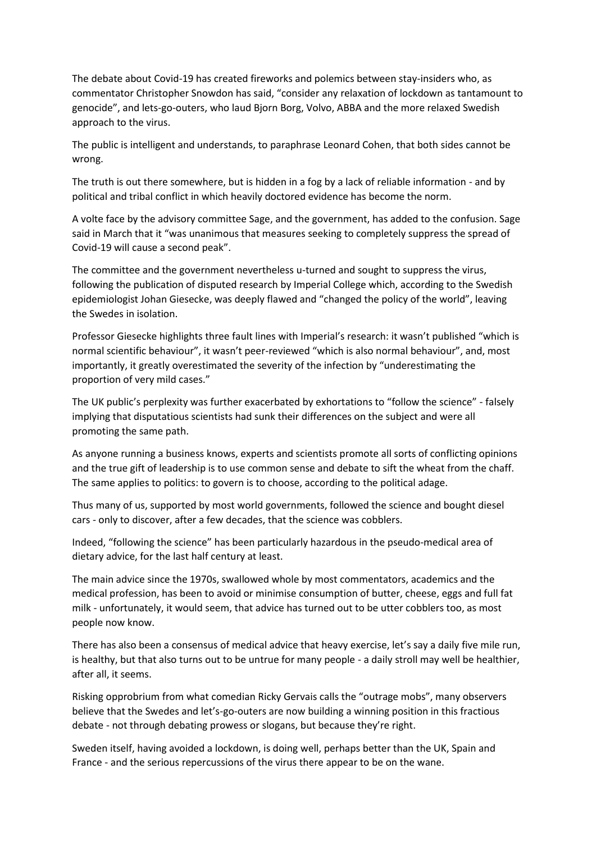The debate about Covid-19 has created fireworks and polemics between stay-insiders who, as commentator Christopher Snowdon has said, "consider any relaxation of lockdown as tantamount to genocide", and lets-go-outers, who laud Bjorn Borg, Volvo, ABBA and the more relaxed Swedish approach to the virus.

The public is intelligent and understands, to paraphrase Leonard Cohen, that both sides cannot be wrong.

The truth is out there somewhere, but is hidden in a fog by a lack of reliable information - and by political and tribal conflict in which heavily doctored evidence has become the norm.

A volte face by the advisory committee Sage, and the government, has added to the confusion. Sage said in March that it "was unanimous that measures seeking to completely suppress the spread of Covid-19 will cause a second peak".

The committee and the government nevertheless u-turned and sought to suppress the virus, following the publication of disputed research by Imperial College which, according to the Swedish epidemiologist Johan Giesecke, was deeply flawed and "changed the policy of the world", leaving the Swedes in isolation.

Professor Giesecke highlights three fault lines with Imperial's research: it wasn't published "which is normal scientific behaviour", it wasn't peer-reviewed "which is also normal behaviour", and, most importantly, it greatly overestimated the severity of the infection by "underestimating the proportion of very mild cases."

The UK public's perplexity was further exacerbated by exhortations to "follow the science" - falsely implying that disputatious scientists had sunk their differences on the subject and were all promoting the same path.

As anyone running a business knows, experts and scientists promote all sorts of conflicting opinions and the true gift of leadership is to use common sense and debate to sift the wheat from the chaff. The same applies to politics: to govern is to choose, according to the political adage.

Thus many of us, supported by most world governments, followed the science and bought diesel cars - only to discover, after a few decades, that the science was cobblers.

Indeed, "following the science" has been particularly hazardous in the pseudo-medical area of dietary advice, for the last half century at least.

The main advice since the 1970s, swallowed whole by most commentators, academics and the medical profession, has been to avoid or minimise consumption of butter, cheese, eggs and full fat milk - unfortunately, it would seem, that advice has turned out to be utter cobblers too, as most people now know.

There has also been a consensus of medical advice that heavy exercise, let's say a daily five mile run, is healthy, but that also turns out to be untrue for many people - a daily stroll may well be healthier, after all, it seems.

Risking opprobrium from what comedian Ricky Gervais calls the "outrage mobs", many observers believe that the Swedes and let's-go-outers are now building a winning position in this fractious debate - not through debating prowess or slogans, but because they're right.

Sweden itself, having avoided a lockdown, is doing well, perhaps better than the UK, Spain and France - and the serious repercussions of the virus there appear to be on the wane.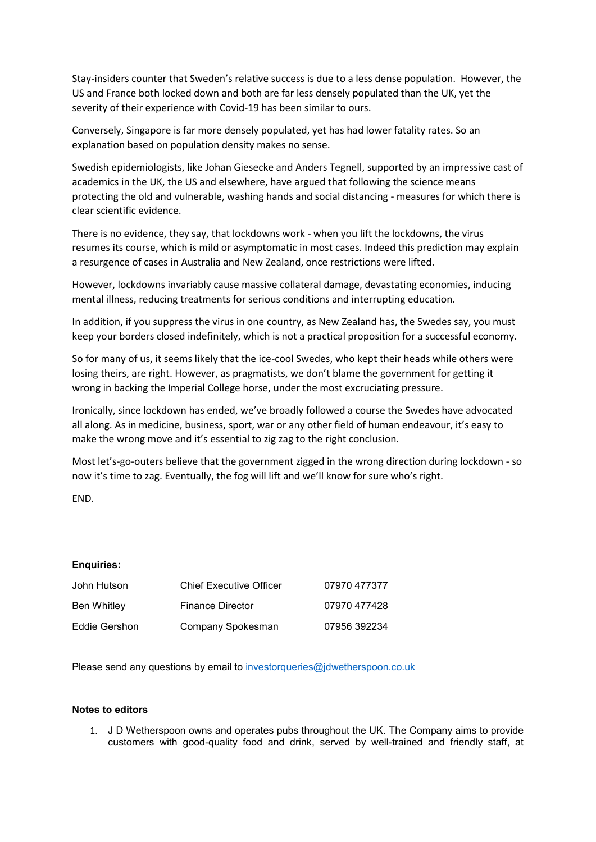Stay-insiders counter that Sweden's relative success is due to a less dense population. However, the US and France both locked down and both are far less densely populated than the UK, yet the severity of their experience with Covid-19 has been similar to ours.

Conversely, Singapore is far more densely populated, yet has had lower fatality rates. So an explanation based on population density makes no sense.

Swedish epidemiologists, like Johan Giesecke and Anders Tegnell, supported by an impressive cast of academics in the UK, the US and elsewhere, have argued that following the science means protecting the old and vulnerable, washing hands and social distancing - measures for which there is clear scientific evidence.

There is no evidence, they say, that lockdowns work - when you lift the lockdowns, the virus resumes its course, which is mild or asymptomatic in most cases. Indeed this prediction may explain a resurgence of cases in Australia and New Zealand, once restrictions were lifted.

However, lockdowns invariably cause massive collateral damage, devastating economies, inducing mental illness, reducing treatments for serious conditions and interrupting education.

In addition, if you suppress the virus in one country, as New Zealand has, the Swedes say, you must keep your borders closed indefinitely, which is not a practical proposition for a successful economy.

So for many of us, it seems likely that the ice-cool Swedes, who kept their heads while others were losing theirs, are right. However, as pragmatists, we don't blame the government for getting it wrong in backing the Imperial College horse, under the most excruciating pressure.

Ironically, since lockdown has ended, we've broadly followed a course the Swedes have advocated all along. As in medicine, business, sport, war or any other field of human endeavour, it's easy to make the wrong move and it's essential to zig zag to the right conclusion.

Most let's-go-outers believe that the government zigged in the wrong direction during lockdown - so now it's time to zag. Eventually, the fog will lift and we'll know for sure who's right.

END.

## **Enquiries:**

| John Hutson   | <b>Chief Executive Officer</b> | 07970 477377 |
|---------------|--------------------------------|--------------|
| Ben Whitley   | <b>Finance Director</b>        | 07970 477428 |
| Eddie Gershon | Company Spokesman              | 07956 392234 |

Please send any questions by email to [investorqueries@jdwetherspoon.co.uk](mailto:investorqueries@jdwetherspoon.co.uk)

## **Notes to editors**

1. J D Wetherspoon owns and operates pubs throughout the UK. The Company aims to provide customers with good-quality food and drink, served by well-trained and friendly staff, at